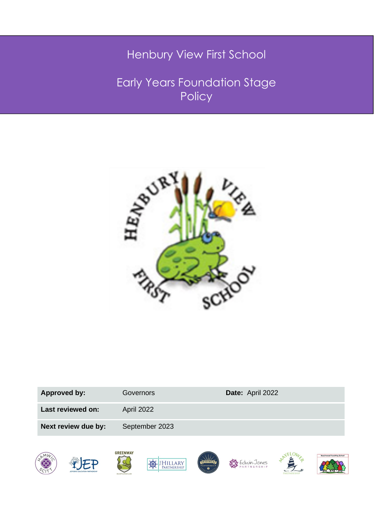# Henbury View First School

Early Years Foundation Stage Policy



| <b>Approved by:</b> | Governors      | Date: April 2022 |
|---------------------|----------------|------------------|
| Last reviewed on:   | April 2022     |                  |
| Next review due by: | September 2023 |                  |
|                     |                |                  |

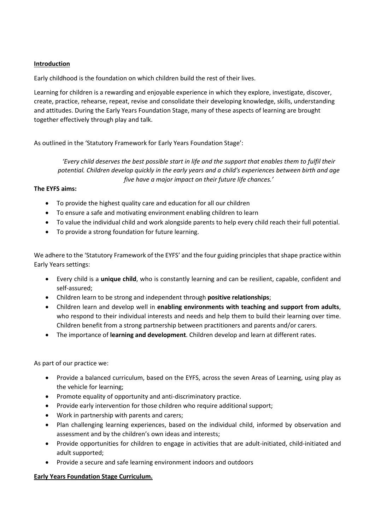#### **Introduction**

Early childhood is the foundation on which children build the rest of their lives.

Learning for children is a rewarding and enjoyable experience in which they explore, investigate, discover, create, practice, rehearse, repeat, revise and consolidate their developing knowledge, skills, understanding and attitudes. During the Early Years Foundation Stage, many of these aspects of learning are brought together effectively through play and talk.

As outlined in the 'Statutory Framework for Early Years Foundation Stage':

*'Every child deserves the best possible start in life and the support that enables them to fulfil their potential. Children develop quickly in the early years and a child's experiences between birth and age five have a major impact on their future life chances.'*

## **The EYFS aims:**

- To provide the highest quality care and education for all our children
- To ensure a safe and motivating environment enabling children to learn
- To value the individual child and work alongside parents to help every child reach their full potential.
- To provide a strong foundation for future learning.

We adhere to the 'Statutory Framework of the EYFS' and the four guiding principles that shape practice within Early Years settings:

- Every child is a **unique child**, who is constantly learning and can be resilient, capable, confident and self-assured;
- Children learn to be strong and independent through **positive relationships**;
- Children learn and develop well in **enabling environments with teaching and support from adults**, who respond to their individual interests and needs and help them to build their learning over time. Children benefit from a strong partnership between practitioners and parents and/or carers.
- The importance of **learning and development**. Children develop and learn at different rates.

As part of our practice we:

- Provide a balanced curriculum, based on the EYFS, across the seven Areas of Learning, using play as the vehicle for learning;
- Promote equality of opportunity and anti-discriminatory practice.
- Provide early intervention for those children who require additional support;
- Work in partnership with parents and carers;
- Plan challenging learning experiences, based on the individual child, informed by observation and assessment and by the children's own ideas and interests;
- Provide opportunities for children to engage in activities that are adult-initiated, child-initiated and adult supported;
- Provide a secure and safe learning environment indoors and outdoors

## **Early Years Foundation Stage Curriculum.**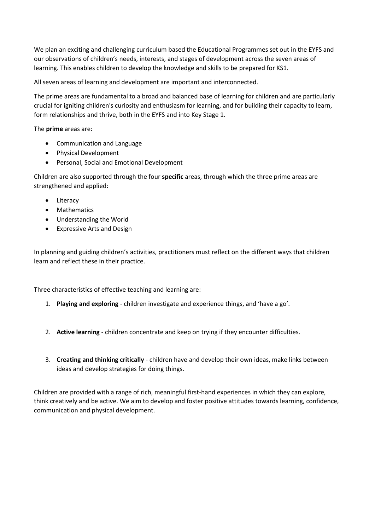We plan an exciting and challenging curriculum based the Educational Programmes set out in the EYFS and our observations of children's needs, interests, and stages of development across the seven areas of learning. This enables children to develop the knowledge and skills to be prepared for KS1.

All seven areas of learning and development are important and interconnected.

The prime areas are fundamental to a broad and balanced base of learning for children and are particularly crucial for igniting children's curiosity and enthusiasm for learning, and for building their capacity to learn, form relationships and thrive, both in the EYFS and into Key Stage 1.

The **prime** areas are:

- Communication and Language
- Physical Development
- Personal, Social and Emotional Development

Children are also supported through the four **specific** areas, through which the three prime areas are strengthened and applied:

- Literacy
- Mathematics
- Understanding the World
- Expressive Arts and Design

In planning and guiding children's activities, practitioners must reflect on the different ways that children learn and reflect these in their practice.

Three characteristics of effective teaching and learning are:

- 1. **Playing and exploring** children investigate and experience things, and 'have a go'.
- 2. **Active learning** children concentrate and keep on trying if they encounter difficulties.
- 3. **Creating and thinking critically** children have and develop their own ideas, make links between ideas and develop strategies for doing things.

Children are provided with a range of rich, meaningful first-hand experiences in which they can explore, think creatively and be active. We aim to develop and foster positive attitudes towards learning, confidence, communication and physical development.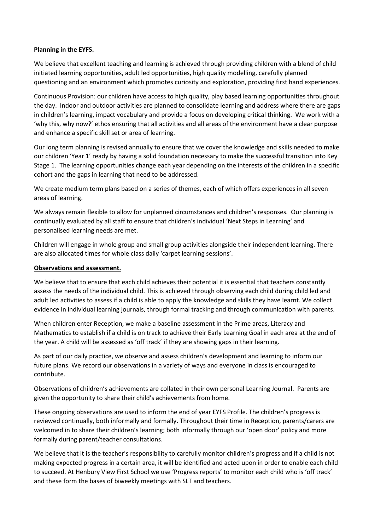#### **Planning in the EYFS.**

We believe that excellent teaching and learning is achieved through providing children with a blend of child initiated learning opportunities, adult led opportunities, high quality modelling, carefully planned questioning and an environment which promotes curiosity and exploration, providing first hand experiences.

Continuous Provision: our children have access to high quality, play based learning opportunities throughout the day. Indoor and outdoor activities are planned to consolidate learning and address where there are gaps in children's learning, impact vocabulary and provide a focus on developing critical thinking. We work with a 'why this, why now?' ethos ensuring that all activities and all areas of the environment have a clear purpose and enhance a specific skill set or area of learning.

Our long term planning is revised annually to ensure that we cover the knowledge and skills needed to make our children 'Year 1' ready by having a solid foundation necessary to make the successful transition into Key Stage 1. The learning opportunities change each year depending on the interests of the children in a specific cohort and the gaps in learning that need to be addressed.

We create medium term plans based on a series of themes, each of which offers experiences in all seven areas of learning.

We always remain flexible to allow for unplanned circumstances and children's responses. Our planning is continually evaluated by all staff to ensure that children's individual 'Next Steps in Learning' and personalised learning needs are met.

Children will engage in whole group and small group activities alongside their independent learning. There are also allocated times for whole class daily 'carpet learning sessions'.

#### **Observations and assessment.**

We believe that to ensure that each child achieves their potential it is essential that teachers constantly assess the needs of the individual child. This is achieved through observing each child during child led and adult led activities to assess if a child is able to apply the knowledge and skills they have learnt. We collect evidence in individual learning journals, through formal tracking and through communication with parents.

When children enter Reception, we make a baseline assessment in the Prime areas, Literacy and Mathematics to establish if a child is on track to achieve their Early Learning Goal in each area at the end of the year. A child will be assessed as 'off track' if they are showing gaps in their learning.

As part of our daily practice, we observe and assess children's development and learning to inform our future plans. We record our observations in a variety of ways and everyone in class is encouraged to contribute.

Observations of children's achievements are collated in their own personal Learning Journal. Parents are given the opportunity to share their child's achievements from home.

These ongoing observations are used to inform the end of year EYFS Profile. The children's progress is reviewed continually, both informally and formally. Throughout their time in Reception, parents/carers are welcomed in to share their children's learning; both informally through our 'open door' policy and more formally during parent/teacher consultations.

We believe that it is the teacher's responsibility to carefully monitor children's progress and if a child is not making expected progress in a certain area, it will be identified and acted upon in order to enable each child to succeed. At Henbury View First School we use 'Progress reports' to monitor each child who is 'off track' and these form the bases of biweekly meetings with SLT and teachers.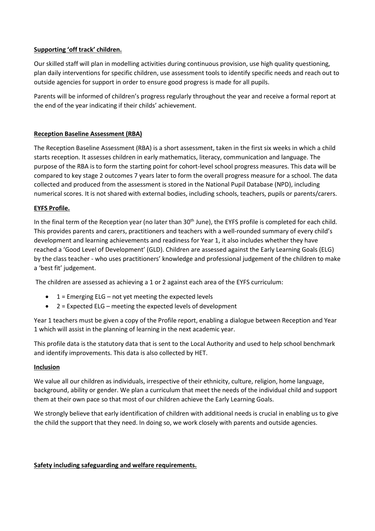## **Supporting 'off track' children.**

Our skilled staff will plan in modelling activities during continuous provision, use high quality questioning, plan daily interventions for specific children, use assessment tools to identify specific needs and reach out to outside agencies for support in order to ensure good progress is made for all pupils.

Parents will be informed of children's progress regularly throughout the year and receive a formal report at the end of the year indicating if their childs' achievement.

# **Reception Baseline Assessment (RBA)**

The Reception Baseline Assessment (RBA) is a short assessment, taken in the first six weeks in which a child starts reception. It assesses children in early mathematics, literacy, communication and language. The purpose of the RBA is to form the starting point for cohort-level school progress measures. This data will be compared to key stage 2 outcomes 7 years later to form the overall progress measure for a school. The data collected and produced from the assessment is stored in the National Pupil Database (NPD), including numerical scores. It is not shared with external bodies, including schools, teachers, pupils or parents/carers.

## **EYFS Profile.**

In the final term of the Reception year (no later than 30<sup>th</sup> June), the EYFS profile is completed for each child. This provides parents and carers, practitioners and teachers with a well-rounded summary of every child's development and learning achievements and readiness for Year 1, it also includes whether they have reached a 'Good Level of Development' (GLD). Children are assessed against the Early Learning Goals (ELG) by the class teacher - who uses practitioners' knowledge and professional judgement of the children to make a 'best fit' judgement.

The children are assessed as achieving a 1 or 2 against each area of the EYFS curriculum:

- $\bullet$  1 = Emerging ELG not yet meeting the expected levels
- 2 = Expected ELG meeting the expected levels of development

Year 1 teachers must be given a copy of the Profile report, enabling a dialogue between Reception and Year 1 which will assist in the planning of learning in the next academic year.

This profile data is the statutory data that is sent to the Local Authority and used to help school benchmark and identify improvements. This data is also collected by HET.

## **Inclusion**

We value all our children as individuals, irrespective of their ethnicity, culture, religion, home language, background, ability or gender. We plan a curriculum that meet the needs of the individual child and support them at their own pace so that most of our children achieve the Early Learning Goals.

We strongly believe that early identification of children with additional needs is crucial in enabling us to give the child the support that they need. In doing so, we work closely with parents and outside agencies.

## **Safety including safeguarding and welfare requirements.**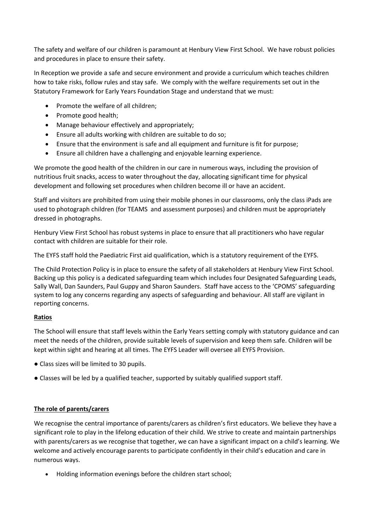The safety and welfare of our children is paramount at Henbury View First School. We have robust policies and procedures in place to ensure their safety.

In Reception we provide a safe and secure environment and provide a curriculum which teaches children how to take risks, follow rules and stay safe. We comply with the welfare requirements set out in the Statutory Framework for Early Years Foundation Stage and understand that we must:

- Promote the welfare of all children;
- Promote good health;
- Manage behaviour effectively and appropriately;
- Ensure all adults working with children are suitable to do so;
- Ensure that the environment is safe and all equipment and furniture is fit for purpose;
- Ensure all children have a challenging and enjoyable learning experience.

We promote the good health of the children in our care in numerous ways, including the provision of nutritious fruit snacks, access to water throughout the day, allocating significant time for physical development and following set procedures when children become ill or have an accident.

Staff and visitors are prohibited from using their mobile phones in our classrooms, only the class iPads are used to photograph children (for TEAMS and assessment purposes) and children must be appropriately dressed in photographs.

Henbury View First School has robust systems in place to ensure that all practitioners who have regular contact with children are suitable for their role.

The EYFS staff hold the Paediatric First aid qualification, which is a statutory requirement of the EYFS.

The Child Protection Policy is in place to ensure the safety of all stakeholders at Henbury View First School. Backing up this policy is a dedicated safeguarding team which includes four Designated Safeguarding Leads, Sally Wall, Dan Saunders, Paul Guppy and Sharon Saunders. Staff have access to the 'CPOMS' safeguarding system to log any concerns regarding any aspects of safeguarding and behaviour. All staff are vigilant in reporting concerns.

## **Ratios**

The School will ensure that staff levels within the Early Years setting comply with statutory guidance and can meet the needs of the children, provide suitable levels of supervision and keep them safe. Children will be kept within sight and hearing at all times. The EYFS Leader will oversee all EYFS Provision.

- Class sizes will be limited to 30 pupils.
- Classes will be led by a qualified teacher, supported by suitably qualified support staff.

# **The role of parents/carers**

We recognise the central importance of parents/carers as children's first educators. We believe they have a significant role to play in the lifelong education of their child. We strive to create and maintain partnerships with parents/carers as we recognise that together, we can have a significant impact on a child's learning. We welcome and actively encourage parents to participate confidently in their child's education and care in numerous ways.

• Holding information evenings before the children start school;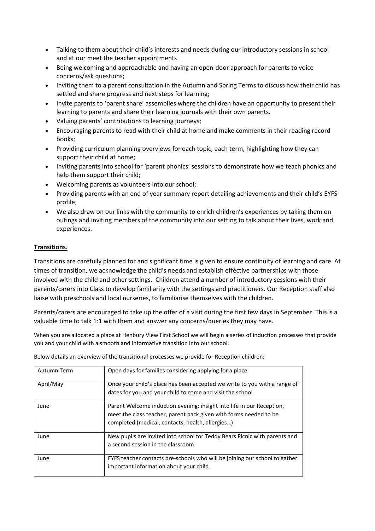- Talking to them about their child's interests and needs during our introductory sessions in school and at our meet the teacher appointments
- Being welcoming and approachable and having an open-door approach for parents to voice concerns/ask questions;
- Inviting them to a parent consultation in the Autumn and Spring Terms to discuss how their child has settled and share progress and next steps for learning;
- Invite parents to 'parent share' assemblies where the children have an opportunity to present their learning to parents and share their learning journals with their own parents.
- Valuing parents' contributions to learning journeys;
- Encouraging parents to read with their child at home and make comments in their reading record books;
- Providing curriculum planning overviews for each topic, each term, highlighting how they can support their child at home;
- Inviting parents into school for 'parent phonics' sessions to demonstrate how we teach phonics and help them support their child;
- Welcoming parents as volunteers into our school;
- Providing parents with an end of year summary report detailing achievements and their child's EYFS profile;
- We also draw on our links with the community to enrich children's experiences by taking them on outings and inviting members of the community into our setting to talk about their lives, work and experiences.

# **Transitions.**

Transitions are carefully planned for and significant time is given to ensure continuity of learning and care. At times of transition, we acknowledge the child's needs and establish effective partnerships with those involved with the child and other settings. Children attend a number of introductory sessions with their parents/carers into Class to develop familiarity with the settings and practitioners. Our Reception staff also liaise with preschools and local nurseries, to familiarise themselves with the children.

Parents/carers are encouraged to take up the offer of a visit during the first few days in September. This is a valuable time to talk 1:1 with them and answer any concerns/queries they may have.

When you are allocated a place at Henbury View First School we will begin a series of induction processes that provide you and your child with a smooth and informative transition into our school.

Below details an overview of the transitional processes we provide for Reception children:

| Autumn Term | Open days for families considering applying for a place                                                                                                                                        |
|-------------|------------------------------------------------------------------------------------------------------------------------------------------------------------------------------------------------|
| April/May   | Once your child's place has been accepted we write to you with a range of<br>dates for you and your child to come and visit the school                                                         |
| June        | Parent Welcome induction evening: insight into life in our Reception,<br>meet the class teacher, parent pack given with forms needed to be<br>completed (medical, contacts, health, allergies) |
| June        | New pupils are invited into school for Teddy Bears Picnic with parents and<br>a second session in the classroom.                                                                               |
| June        | EYFS teacher contacts pre-schools who will be joining our school to gather<br>important information about your child.                                                                          |